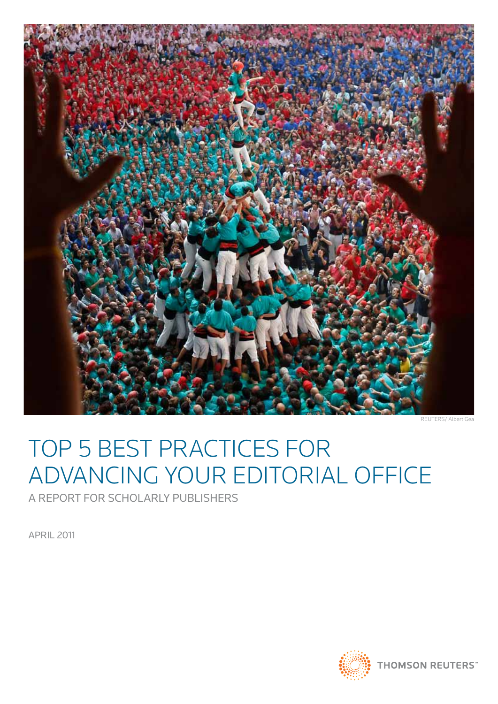

REUTERS/ Albert Gea

# TOP 5 BEST PRACTICES FOR ADVANCING YOUR EDITORIAL OFFICE

A Report for Scholarly Publishers

APRIL 2011

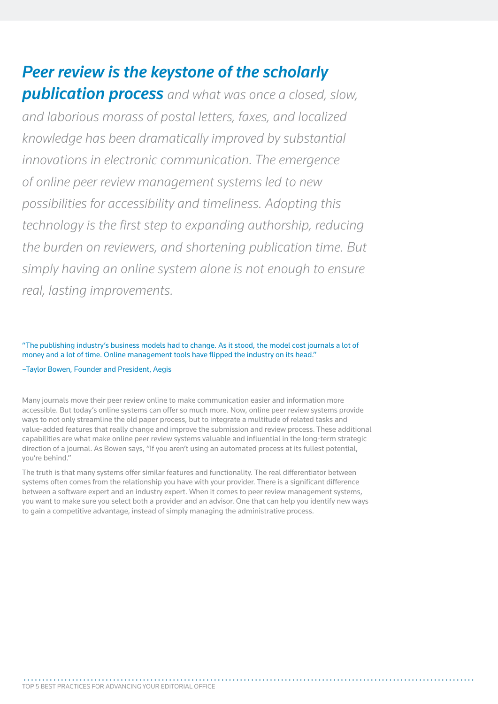*Peer review is the keystone of the scholarly publication process and what was once a closed, slow, and laborious morass of postal letters, faxes, and localized knowledge has been dramatically improved by substantial innovations in electronic communication. The emergence of online peer review management systems led to new possibilities for accessibility and timeliness. Adopting this technology is the first step to expanding authorship, reducing the burden on reviewers, and shortening publication time. But simply having an online system alone is not enough to ensure real, lasting improvements.*

"The publishing industry's business models had to change. As it stood, the model cost journals a lot of money and a lot of time. Online management tools have flipped the industry on its head."

#### –Taylor Bowen, Founder and President, Aegis

Many journals move their peer review online to make communication easier and information more accessible. But today's online systems can offer so much more. Now, online peer review systems provide ways to not only streamline the old paper process, but to integrate a multitude of related tasks and value-added features that really change and improve the submission and review process. These additional capabilities are what make online peer review systems valuable and influential in the long-term strategic direction of a journal. As Bowen says, "If you aren't using an automated process at its fullest potential, you're behind."

The truth is that many systems offer similar features and functionality. The real differentiator between systems often comes from the relationship you have with your provider. There is a significant difference between a software expert and an industry expert. When it comes to peer review management systems, you want to make sure you select both a provider and an advisor. One that can help you identify new ways to gain a competitive advantage, instead of simply managing the administrative process.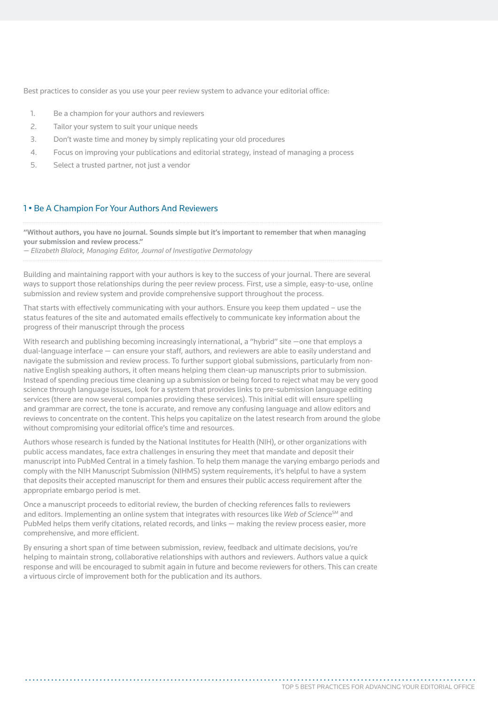Best practices to consider as you use your peer review system to advance your editorial office:

- 1. Be a champion for your authors and reviewers
- 2. Tailor your system to suit your unique needs
- 3. Don't waste time and money by simply replicating your old procedures
- 4. Focus on improving your publications and editorial strategy, instead of managing a process
- 5. Select a trusted partner, not just a vendor

# 1 • Be A Champion For Your Authors And Reviewers

"Without authors, you have no journal. Sounds simple but it's important to remember that when managing your submission and review process."

*— Elizabeth Blalock, Managing Editor, Journal of Investigative Dermatology*

Building and maintaining rapport with your authors is key to the success of your journal. There are several ways to support those relationships during the peer review process. First, use a simple, easy-to-use, online submission and review system and provide comprehensive support throughout the process.

That starts with effectively communicating with your authors. Ensure you keep them updated – use the status features of the site and automated emails effectively to communicate key information about the progress of their manuscript through the process

With research and publishing becoming increasingly international, a "hybrid" site -one that employs a dual-language interface — can ensure your staff, authors, and reviewers are able to easily understand and navigate the submission and review process. To further support global submissions, particularly from nonnative English speaking authors, it often means helping them clean-up manuscripts prior to submission. Instead of spending precious time cleaning up a submission or being forced to reject what may be very good science through language issues, look for a system that provides links to pre-submission language editing services (there are now several companies providing these services). This initial edit will ensure spelling and grammar are correct, the tone is accurate, and remove any confusing language and allow editors and reviews to concentrate on the content. This helps you capitalize on the latest research from around the globe without compromising your editorial office's time and resources.

Authors whose research is funded by the National Institutes for Health (NIH), or other organizations with public access mandates, face extra challenges in ensuring they meet that mandate and deposit their manuscript into PubMed Central in a timely fashion. To help them manage the varying embargo periods and comply with the NIH Manuscript Submission (NIHMS) system requirements, it's helpful to have a system that deposits their accepted manuscript for them and ensures their public access requirement after the appropriate embargo period is met.

Once a manuscript proceeds to editorial review, the burden of checking references falls to reviewers and editors. Implementing an online system that integrates with resources like *Web of Science*<sup>SM</sup> and PubMed helps them verify citations, related records, and links — making the review process easier, more comprehensive, and more efficient.

By ensuring a short span of time between submission, review, feedback and ultimate decisions, you're helping to maintain strong, collaborative relationships with authors and reviewers. Authors value a quick response and will be encouraged to submit again in future and become reviewers for others. This can create a virtuous circle of improvement both for the publication and its authors.

 **. . . . . . . . . . . . . . . . . . . . . . . . . . . . . . . . . . . . . . . . . . . . . . . . . . . . . . . . . . . . . . . . . . . . . . . . . . . . . . . . . . . . . . . . . . . . . . . . . . . . . . . . . . . . . . . . . . . . . . . . .**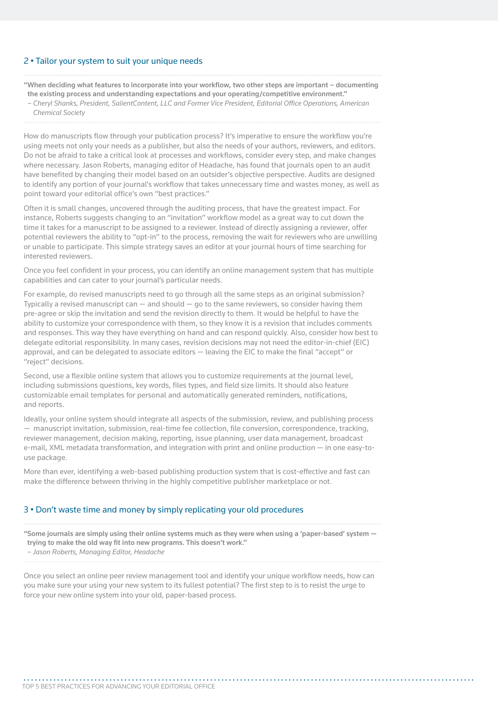# 2 • Tailor your system to suit your unique needs

"When deciding what features to incorporate into your workflow, two other steps are important – documenting the existing process and understanding expectations and your operating/competitive environment." *– Cheryl Shanks, President, SalientContent, LLC and Former Vice President, Editorial Office Operations, American* 

*Chemical Society*

How do manuscripts flow through your publication process? It's imperative to ensure the workflow you're using meets not only your needs as a publisher, but also the needs of your authors, reviewers, and editors. Do not be afraid to take a critical look at processes and workflows, consider every step, and make changes where necessary. Jason Roberts, managing editor of Headache, has found that journals open to an audit have benefited by changing their model based on an outsider's objective perspective. Audits are designed to identify any portion of your journal's workflow that takes unnecessary time and wastes money, as well as point toward your editorial office's own "best practices."

Often it is small changes, uncovered through the auditing process, that have the greatest impact. For instance, Roberts suggests changing to an "invitation" workflow model as a great way to cut down the time it takes for a manuscript to be assigned to a reviewer. Instead of directly assigning a reviewer, offer potential reviewers the ability to "opt-in" to the process, removing the wait for reviewers who are unwilling or unable to participate. This simple strategy saves an editor at your journal hours of time searching for interested reviewers.

Once you feel confident in your process, you can identify an online management system that has multiple capabilities and can cater to your journal's particular needs.

For example, do revised manuscripts need to go through all the same steps as an original submission? Typically a revised manuscript can  $-$  and should  $-$  go to the same reviewers, so consider having them pre-agree or skip the invitation and send the revision directly to them. It would be helpful to have the ability to customize your correspondence with them, so they know it is a revision that includes comments and responses. This way they have everything on hand and can respond quickly. Also, consider how best to delegate editorial responsibility. In many cases, revision decisions may not need the editor-in-chief (EIC) approval, and can be delegated to associate editors — leaving the EIC to make the final "accept" or "reject" decisions.

Second, use a flexible online system that allows you to customize requirements at the journal level, including submissions questions, key words, files types, and field size limits. It should also feature customizable email templates for personal and automatically generated reminders, notifications, and reports.

Ideally, your online system should integrate all aspects of the submission, review, and publishing process — manuscript invitation, submission, real-time fee collection, file conversion, correspondence, tracking, reviewer management, decision making, reporting, issue planning, user data management, broadcast e-mail, XML metadata transformation, and integration with print and online production — in one easy-touse package.

More than ever, identifying a web-based publishing production system that is cost-effective and fast can make the difference between thriving in the highly competitive publisher marketplace or not.

# 3 • Don't waste time and money by simply replicating your old procedures

"Some journals are simply using their online systems much as they were when using a 'paper-based' system trying to make the old way fit into new programs. This doesn't work."

*– Jason Roberts, Managing Editor, Headache*

Once you select an online peer review management tool and identify your unique workflow needs, how can you make sure your using your new system to its fullest potential? The first step to is to resist the urge to force your new online system into your old, paper-based process.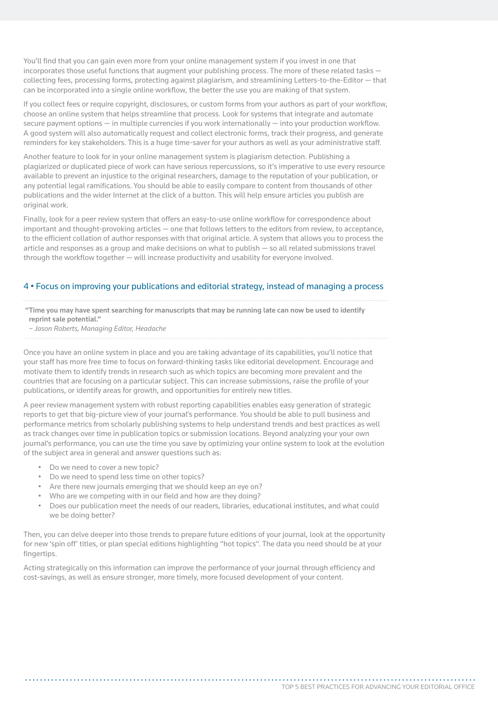You'll find that you can gain even more from your online management system if you invest in one that incorporates those useful functions that augment your publishing process. The more of these related tasks collecting fees, processing forms, protecting against plagiarism, and streamlining Letters-to-the-Editor — that can be incorporated into a single online workflow, the better the use you are making of that system.

If you collect fees or require copyright, disclosures, or custom forms from your authors as part of your workflow, choose an online system that helps streamline that process. Look for systems that integrate and automate secure payment options — in multiple currencies if you work internationally — into your production workflow. A good system will also automatically request and collect electronic forms, track their progress, and generate reminders for key stakeholders. This is a huge time-saver for your authors as well as your administrative staff.

Another feature to look for in your online management system is plagiarism detection. Publishing a plagiarized or duplicated piece of work can have serious repercussions, so it's imperative to use every resource available to prevent an injustice to the original researchers, damage to the reputation of your publication, or any potential legal ramifications. You should be able to easily compare to content from thousands of other publications and the wider Internet at the click of a button. This will help ensure articles you publish are original work.

Finally, look for a peer review system that offers an easy-to-use online workflow for correspondence about important and thought-provoking articles — one that follows letters to the editors from review, to acceptance, to the efficient collation of author responses with that original article. A system that allows you to process the article and responses as a group and make decisions on what to publish — so all related submissions travel through the workflow together — will increase productivity and usability for everyone involved.

# 4 • Focus on improving your publications and editorial strategy, instead of managing a process

- "Time you may have spent searching for manuscripts that may be running late can now be used to identify reprint sale potential."
- *Jason Roberts, Managing Editor, Headache*

Once you have an online system in place and you are taking advantage of its capabilities, you'll notice that your staff has more free time to focus on forward-thinking tasks like editorial development. Encourage and motivate them to identify trends in research such as which topics are becoming more prevalent and the countries that are focusing on a particular subject. This can increase submissions, raise the profile of your publications, or identify areas for growth, and opportunities for entirely new titles.

A peer review management system with robust reporting capabilities enables easy generation of strategic reports to get that big-picture view of your journal's performance. You should be able to pull business and performance metrics from scholarly publishing systems to help understand trends and best practices as well as track changes over time in publication topics or submission locations. Beyond analyzing your your own journal's performance, you can use the time you save by optimizing your online system to look at the evolution of the subject area in general and answer questions such as:

- Do we need to cover a new topic?
- Do we need to spend less time on other topics?
- Are there new journals emerging that we should keep an eye on?
- Who are we competing with in our field and how are they doing?
- Does our publication meet the needs of our readers, libraries, educational institutes, and what could we be doing better?

Then, you can delve deeper into those trends to prepare future editions of your journal, look at the opportunity for new 'spin off' titles, or plan special editions highlighting "hot topics". The data you need should be at your fingertips.

Acting strategically on this information can improve the performance of your journal through efficiency and cost-savings, as well as ensure stronger, more timely, more focused development of your content.

. . . . . . . . . . . . . . . . . .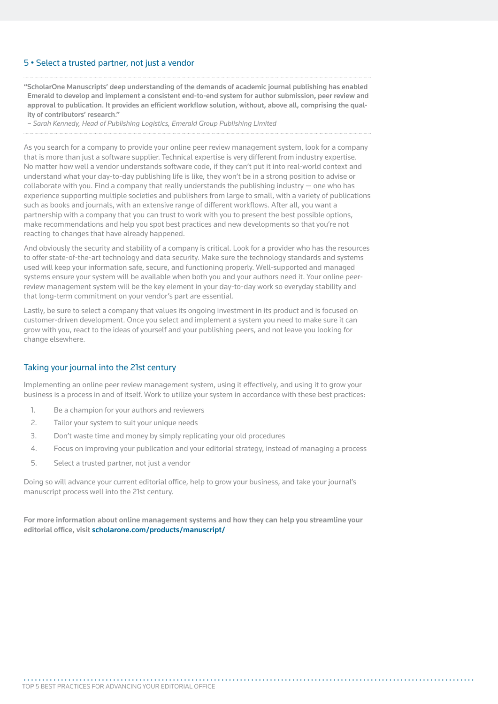## 5 • Select a trusted partner, not just a vendor

"ScholarOne Manuscripts' deep understanding of the demands of academic journal publishing has enabled Emerald to develop and implement a consistent end-to-end system for author submission, peer review and approval to publication. It provides an efficient workflow solution, without, above all, comprising the quality of contributors' research."

*– Sarah Kennedy, Head of Publishing Logistics, Emerald Group Publishing Limited*

As you search for a company to provide your online peer review management system, look for a company that is more than just a software supplier. Technical expertise is very different from industry expertise. No matter how well a vendor understands software code, if they can't put it into real-world context and understand what your day-to-day publishing life is like, they won't be in a strong position to advise or collaborate with you. Find a company that really understands the publishing industry — one who has experience supporting multiple societies and publishers from large to small, with a variety of publications such as books and journals, with an extensive range of different workflows. After all, you want a partnership with a company that you can trust to work with you to present the best possible options, make recommendations and help you spot best practices and new developments so that you're not reacting to changes that have already happened.

And obviously the security and stability of a company is critical. Look for a provider who has the resources to offer state-of-the-art technology and data security. Make sure the technology standards and systems used will keep your information safe, secure, and functioning properly. Well-supported and managed systems ensure your system will be available when both you and your authors need it. Your online peerreview management system will be the key element in your day-to-day work so everyday stability and that long-term commitment on your vendor's part are essential.

Lastly, be sure to select a company that values its ongoing investment in its product and is focused on customer-driven development. Once you select and implement a system you need to make sure it can grow with you, react to the ideas of yourself and your publishing peers, and not leave you looking for change elsewhere.

### Taking your journal into the 21st century

Implementing an online peer review management system, using it effectively, and using it to grow your business is a process in and of itself. Work to utilize your system in accordance with these best practices:

- 1. Be a champion for your authors and reviewers
- 2. Tailor your system to suit your unique needs
- 3. Don't waste time and money by simply replicating your old procedures
- 4. Focus on improving your publication and your editorial strategy, instead of managing a process
- 5. Select a trusted partner, not just a vendor

Doing so will advance your current editorial office, help to grow your business, and take your journal's manuscript process well into the 21st century.

For more information about online management systems and how they can help you streamline your editorial office, visit scholarone.com/products/manuscript/